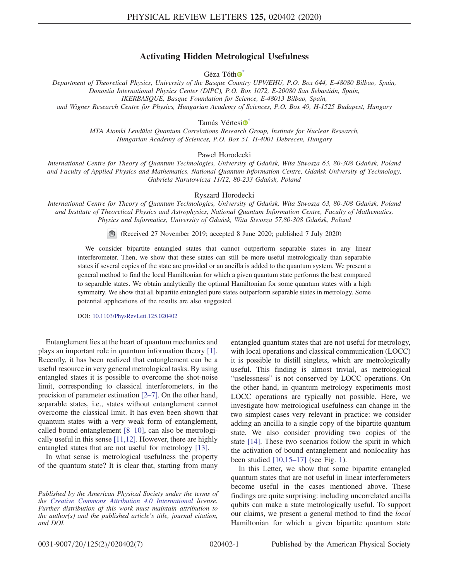## Activating Hidden Metrological Usefulness

 $Géza Tóth  $\circ$$ 

<span id="page-0-1"></span><span id="page-0-0"></span>Department of Theoretical Physics, University of the Basque Country UPV/EHU, P.O. Box 644, E-48080 Bilbao, Spain, Donostia International Physics Center (DIPC), P.O. Box 1072, E-20080 San Sebastián, Spain, IKERBASQUE, Basque Foundation for Science, E-48013 Bilbao, Spain, and Wigner Research Centre for Physics, Hungarian Academy of Sciences, P.O. Box 49, H-1525 Budapest, Hungary

Tamás Vértesi<sup>o</sup>

MTA Atomki Lendület Quantum Correlations Research Group, Institute for Nuclear Research, Hungarian Academy of Sciences, P.O. Box 51, H-4001 Debrecen, Hungary

Paweł Horodecki

International Centre for Theory of Quantum Technologies, University of Gdańsk, Wita Stwosza 63, 80-308 Gdańsk, Poland and Faculty of Applied Physics and Mathematics, National Quantum Information Centre, Gdańsk University of Technology, Gabriela Narutowicza 11/12, 80-233 Gdańsk, Poland

Ryszard Horodecki

International Centre for Theory of Quantum Technologies, University of Gdańsk, Wita Stwosza 63, 80-308 Gdańsk, Poland and Institute of Theoretical Physics and Astrophysics, National Quantum Information Centre, Faculty of Mathematics, Physics and Informatics, University of Gdańsk, Wita Stwosza 57,80-308 Gdańsk, Poland

(Received 27 November 2019; accepted 8 June 2020; published 7 July 2020)

We consider bipartite entangled states that cannot outperform separable states in any linear interferometer. Then, we show that these states can still be more useful metrologically than separable states if several copies of the state are provided or an ancilla is added to the quantum system. We present a general method to find the local Hamiltonian for which a given quantum state performs the best compared to separable states. We obtain analytically the optimal Hamiltonian for some quantum states with a high symmetry. We show that all bipartite entangled pure states outperform separable states in metrology. Some potential applications of the results are also suggested.

DOI: [10.1103/PhysRevLett.125.020402](https://doi.org/10.1103/PhysRevLett.125.020402)

Entanglement lies at the heart of quantum mechanics and plays an important role in quantum information theory [\[1\]](#page-4-2). Recently, it has been realized that entanglement can be a useful resource in very general metrological tasks. By using entangled states it is possible to overcome the shot-noise limit, corresponding to classical interferometers, in the precision of parameter estimation [2–[7\]](#page-4-3). On the other hand, separable states, i.e., states without entanglement cannot overcome the classical limit. It has even been shown that quantum states with a very weak form of entanglement, called bound entanglement [8–[10\]](#page-5-0), can also be metrologically useful in this sense [\[11,12\]](#page-5-1). However, there are highly entangled states that are not useful for metrology [\[13\]](#page-5-2).

In what sense is metrological usefulness the property of the quantum state? It is clear that, starting from many entangled quantum states that are not useful for metrology, with local operations and classical communication (LOCC) it is possible to distill singlets, which are metrologically useful. This finding is almost trivial, as metrological "uselessness" is not conserved by LOCC operations. On the other hand, in quantum metrology experiments most LOCC operations are typically not possible. Here, we investigate how metrological usefulness can change in the two simplest cases very relevant in practice: we consider adding an ancilla to a single copy of the bipartite quantum state. We also consider providing two copies of the state [\[14\].](#page-5-3) These two scenarios follow the spirit in which the activation of bound entanglement and nonlocality has been studied [\[10,15](#page-5-4)–17] (see Fig. [1](#page-1-0)).

In this Letter, we show that some bipartite entangled quantum states that are not useful in linear interferometers become useful in the cases mentioned above. These findings are quite surprising: including uncorrelated ancilla qubits can make a state metrologically useful. To support our claims, we present a general method to find the local Hamiltonian for which a given bipartite quantum state

Published by the American Physical Society under the terms of the [Creative Commons Attribution 4.0 International](https://creativecommons.org/licenses/by/4.0/) license. Further distribution of this work must maintain attribution to the author(s) and the published article's title, journal citation, and DOI.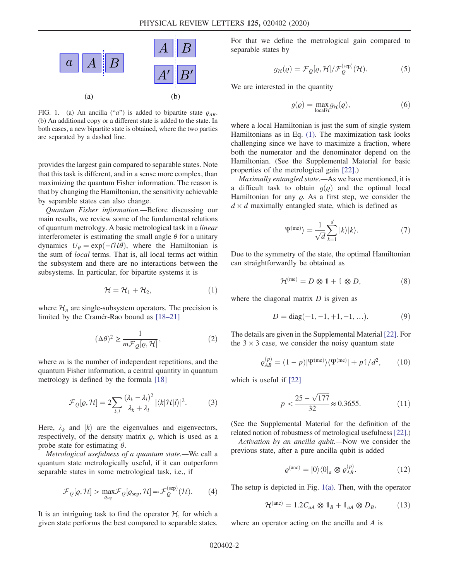<span id="page-1-0"></span>

FIG. 1. (a) An ancilla ("a") is added to bipartite state  $\rho_{AB}$ . (b) An additional copy or a different state is added to the state. In both cases, a new bipartite state is obtained, where the two parties are separated by a dashed line.

provides the largest gain compared to separable states. Note that this task is different, and in a sense more complex, than maximizing the quantum Fisher information. The reason is that by changing the Hamiltonian, the sensitivity achievable by separable states can also change.

Quantum Fisher information.—Before discussing our main results, we review some of the fundamental relations of quantum metrology. A basic metrological task in a linear interferometer is estimating the small angle  $\theta$  for a unitary dynamics  $U_{\theta} = \exp(-i\mathcal{H}\theta)$ , where the Hamiltonian is the sum of local terms. That is, all local terms act within the subsystem and there are no interactions between the subsystems. In particular, for bipartite systems it is

$$
\mathcal{H} = \mathcal{H}_1 + \mathcal{H}_2, \tag{1}
$$

<span id="page-1-1"></span>where  $\mathcal{H}_n$  are single-subsystem operators. The precision is limited by the Cramér-Rao bound as  $[18–21]$  $[18–21]$ 

$$
(\Delta \theta)^2 \ge \frac{1}{m \mathcal{F}_Q[\varrho, \mathcal{H}]},\tag{2}
$$

where  $m$  is the number of independent repetitions, and the quantum Fisher information, a central quantity in quantum metrology is defined by the formula [\[18\]](#page-5-5)

$$
\mathcal{F}_{Q}[\varrho, \mathcal{H}] = 2 \sum_{k,l} \frac{(\lambda_k - \lambda_l)^2}{\lambda_k + \lambda_l} |\langle k| \mathcal{H} | l \rangle|^2. \tag{3}
$$

Here,  $\lambda_k$  and  $|k\rangle$  are the eigenvalues and eigenvectors, respectively, of the density matrix  $\rho$ , which is used as a probe state for estimating  $\theta$ .

Metrological usefulness of a quantum state.—We call a quantum state metrologically useful, if it can outperform separable states in some metrological task, i.e., if

$$
\mathcal{F}_Q[\varrho, \mathcal{H}] > \max_{\varrho_{\text{sep}}} \mathcal{F}_Q[\varrho_{\text{sep}}, \mathcal{H}] =: \mathcal{F}_Q^{\text{(sep)}}(\mathcal{H}).
$$
 (4)

It is an intriguing task to find the operator  $H$ , for which a given state performs the best compared to separable states. <span id="page-1-3"></span>For that we define the metrological gain compared to separable states by

$$
g_{\mathcal{H}}(\varrho) = \mathcal{F}_{\mathcal{Q}}[\varrho, \mathcal{H}]/\mathcal{F}_{\mathcal{Q}}^{(\text{sep})}(\mathcal{H}).
$$
 (5)

We are interested in the quantity

$$
g(\varrho) = \max_{\text{local} \mathcal{H}} g_{\mathcal{H}}(\varrho), \tag{6}
$$

where a local Hamiltonian is just the sum of single system Hamiltonians as in Eq. [\(1\)](#page-1-1). The maximization task looks challenging since we have to maximize a fraction, where both the numerator and the denominator depend on the Hamiltonian. (See the Supplemental Material for basic properties of the metrological gain [\[22\]](#page-5-6).)

Maximally entangled state.—As we have mentioned, it is a difficult task to obtain  $g(\rho)$  and the optimal local Hamiltonian for any  $\rho$ . As a first step, we consider the  $d \times d$  maximally entangled state, which is defined as

$$
|\Psi^{(\text{me})}\rangle = \frac{1}{\sqrt{d}} \sum_{k=1}^{d} |k\rangle |k\rangle. \tag{7}
$$

Due to the symmetry of the state, the optimal Hamiltonian can straightforwardly be obtained as

$$
\mathcal{H}^{(\text{me})} = D \otimes 1 + 1 \otimes D, \tag{8}
$$

where the diagonal matrix  $D$  is given as

$$
D = diag(+1, -1, +1, -1, \ldots). \tag{9}
$$

The details are given in the Supplemental Material [\[22\].](#page-5-6) For the  $3 \times 3$  case, we consider the noisy quantum state

$$
\varrho_{AB}^{(p)} = (1-p)|\Psi^{(\text{me})}\rangle\langle\Psi^{(\text{me})}| + p\mathbb{1}/d^2,\qquad(10)
$$

<span id="page-1-2"></span>which is useful if [\[22\]](#page-5-6)

$$
p < \frac{25 - \sqrt{177}}{32} \approx 0.3655. \tag{11}
$$

(See the Supplemental Material for the definition of the related notion of robustness of metrological usefulness [\[22\]](#page-5-6).)

<span id="page-1-4"></span>Activation by an ancilla qubit.—Now we consider the previous state, after a pure ancilla qubit is added

$$
\varrho^{(\text{anc})} = |0\rangle\langle 0|_a \otimes \varrho_{AB}^{(p)}.\tag{12}
$$

The setup is depicted in Fig. [1\(a\)](#page-1-0). Then, with the operator

$$
\mathcal{H}^{(\text{anc})} = 1.2 C_{aA} \otimes \mathbb{1}_B + \mathbb{1}_{aA} \otimes D_B, \tag{13}
$$

where an operator acting on the ancilla and A is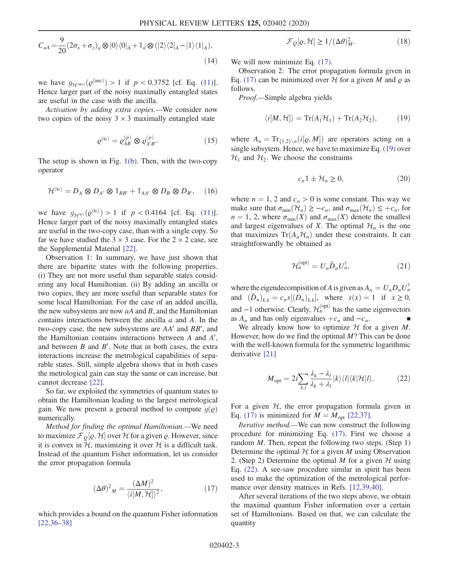$$
C_{aA} = \frac{9}{20} (2\sigma_x + \sigma_z)_a \otimes |0\rangle\langle 0|_A + \mathbb{1}_a \otimes (|2\rangle\langle 2|_A - |1\rangle\langle 1|_A),
$$
\n(14)

we have  $g_{\mathcal{H}^{(\text{anc})}}(Q^{(\text{anc})}) > 1$  if  $p < 0.3752$  [cf. Eq. [\(11\)](#page-1-2)].<br>Hence larger part of the noisy maximally entangled states Hence larger part of the noisy maximally entangled states are useful in the case with the ancilla.

<span id="page-2-4"></span>Activation by adding extra copies.—We consider now two copies of the noisy  $3 \times 3$  maximally entangled state

$$
\varrho^{(\text{tc})} = \varrho_{AB}^{(p)} \otimes \varrho_{A'B'}^{(p)}.
$$
 (15)

The setup is shown in Fig. [1\(b\)](#page-1-0). Then, with the two-copy operator

$$
\mathcal{H}^{(\mathrm{tc})} = D_A \otimes D_{A'} \otimes \mathbb{1}_{BB'} + \mathbb{1}_{AA'} \otimes D_B \otimes D_{B'}, \quad (16)
$$

we have  $g_{\mathcal{H}^{(k)}}(\varrho^{(k)}) > 1$  if  $p < 0.4164$  [cf. Eq. [\(11\)](#page-1-2)].<br>Hence larger part of the noisy maximally entangled states Hence larger part of the noisy maximally entangled states are useful in the two-copy case, than with a single copy. So far we have studied the  $3 \times 3$  case. For the  $2 \times 2$  case, see the Supplemental Material [\[22\].](#page-5-6)

Observation 1: In summary, we have just shown that there are bipartite states with the following properties. (i) They are not more useful than separable states considering any local Hamiltonian. (ii) By adding an ancilla or two copies, they are more useful than separable states for some local Hamiltonian. For the case of an added ancilla, the new subsystems are now  $aA$  and  $B$ , and the Hamiltonian contains interactions between the ancilla  $a$  and  $A$ . In the two-copy case, the new subsystems are  $AA'$  and  $BB'$ , and the Hamiltonian contains interactions between  $A$  and  $A'$ , and between  $B$  and  $B'$ . Note that in both cases, the extra interactions increase the metrological capabilities of separable states. Still, simple algebra shows that in both cases the metrological gain can stay the same or can increase, but cannot decrease [\[22\].](#page-5-6)

So far, we exploited the symmetries of quantum states to obtain the Hamiltonian leading to the largest metrological gain. We now present a general method to compute  $q(\rho)$ numerically.

<span id="page-2-0"></span>Method for finding the optimal Hamiltonian.—We need to maximize  $\mathcal{F}_{Q}[\rho, \mathcal{H}]$  over  $\mathcal{H}$  for a given  $\rho$ . However, since<br>it is convex in  $\mathcal{H}$  maximizing it over  $\mathcal{H}$  is a difficult task it is convex in  $H$ , maximizing it over  $H$  is a difficult task. Instead of the quantum Fisher information, let us consider the error propagation formula

$$
(\Delta \theta)^2{}_M = \frac{(\Delta M)^2}{\langle i[M, \mathcal{H}] \rangle^2},\tag{17}
$$

which provides a bound on the quantum Fisher information [\[22,36](#page-5-6)–38]

$$
\mathcal{F}_Q[\varrho, \mathcal{H}] \ge 1/(\Delta \theta)_M^2. \tag{18}
$$

We will now minimize Eq.  $(17)$ .

Observation 2: The error propagation formula given in Eq. [\(17\)](#page-2-0) can be minimized over  $H$  for a given M and  $\rho$  as follows.

<span id="page-2-1"></span>Proof.—Simple algebra yields

$$
\langle i[M, \mathcal{H}] \rangle = \text{Tr}(A_1 \mathcal{H}_1) + \text{Tr}(A_2 \mathcal{H}_2), \tag{19}
$$

<span id="page-2-3"></span>where  $A_n = \text{Tr}_{\{1,2\}}(i[\varrho, M])$  are operators acting on a<br>single subsytem Hence we have to maximize Eq. (10) over single subsytem. Hence, we have to maximize Eq. [\(19\)](#page-2-1) over  $\mathcal{H}_1$  and  $\mathcal{H}_2$ . We choose the constraints

$$
c_n 1 \pm \mathcal{H}_n \ge 0,\tag{20}
$$

where  $n = 1$ , 2 and  $c_n > 0$  is some constant. This way we make sure that  $\sigma_{\min}(\mathcal{H}_n) \geq -c_n$ , and  $\sigma_{\max}(\mathcal{H}_n) \leq +c_n$ , for  $n = 1, 2$ , where  $\sigma_{min}(X)$  and  $\sigma_{max}(X)$  denote the smallest and largest eigenvalues of X. The optimal  $\mathcal{H}_n$  is the one that maximizes  $Tr(A_n\mathcal{H}_n)$  under these constraints. It can straightforwardly be obtained as

$$
\mathcal{H}_n^{(\text{opt})} = U_n \tilde{D}_n U_n^{\dagger},\tag{21}
$$

where the eigendecompisition of A is given as  $A_n = U_n D_n U_n^{\dagger}$ <br>and  $(\tilde{D}_n) = c_s [(\tilde{D}_n)]$ , where  $c(x) = 1$  if  $x > 0$ . and  $(\tilde{D}_n)_{k,k} = c_n s[(D_n)_{k,k}],$  where  $s(x) = 1$  if  $x \ge 0$ , and  $-1$  otherwise. Clearly,  $\mathcal{H}_n^{(opt)}$  has the same eigenvectors as  $A_n$  and has only eigenvalues  $+c_n$  and  $-c_n$ .

<span id="page-2-2"></span>We already know how to optimize  $H$  for a given  $M$ . However, how do we find the optimal  $M$ ? This can be done with the well-known formula for the symmetric logarithmic derivative [\[21\]](#page-5-7)

$$
M_{\rm opt} = 2i \sum_{k,l} \frac{\lambda_k - \lambda_l}{\lambda_k + \lambda_l} |k\rangle\langle l| \langle k| \mathcal{H} | l \rangle. \tag{22}
$$

For a given  $H$ , the error propagation formula given in Eq. [\(17\)](#page-2-0) is minimized for  $M = M_{\text{opt}}$  [\[22,37\].](#page-5-6)

Iterative method.—We can now construct the following procedure for minimizing Eq. [\(17\)](#page-2-0). First we choose a random  $M$ . Then, repeat the following two steps. (Step 1) Determine the optimal  $H$  for a given M using Observation 2. (Step 2) Determine the optimal M for a given  $H$  using Eq. [\(22\).](#page-2-2) A see-saw procedure similar in spirit has been used to make the optimization of the metrological performance over density matrices in Refs. [\[12,39,40\]](#page-5-8).

After several iterations of the two steps above, we obtain the maximal quantum Fisher information over a certain set of Hamiltonians. Based on that, we can calculate the quantity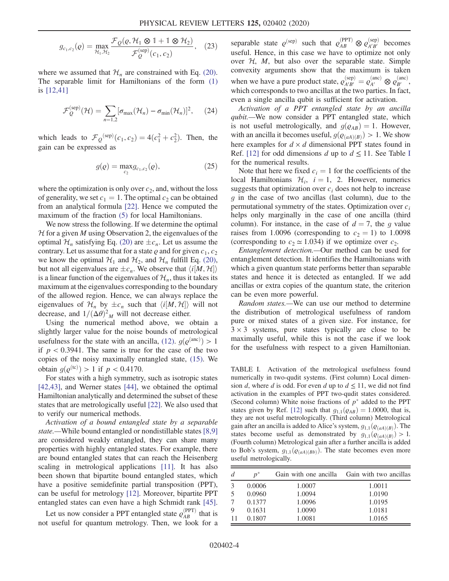$$
g_{c_1,c_2}(q) = \max_{\mathcal{H}_1, \mathcal{H}_2} \frac{\mathcal{F}_Q(\varrho, \mathcal{H}_1 \otimes 1 + 1 \otimes \mathcal{H}_2)}{\mathcal{F}_Q^{(\text{sep})}(c_1, c_2)},
$$
 (23)

where we assumed that  $\mathcal{H}_n$  are constrained with Eq. [\(20\)](#page-2-3). The separable limit for Hamiltonians of the form [\(1\)](#page-1-1) is [\[12,41\]](#page-5-8)

$$
\mathcal{F}_Q^{(\text{sep})}(\mathcal{H}) = \sum_{n=1,2} [\sigma_{\text{max}}(\mathcal{H}_n) - \sigma_{\text{min}}(\mathcal{H}_n)]^2, \qquad (24)
$$

which leads to  $\mathcal{F}_Q^{(\text{sep})}(c_1, c_2) = 4(c_1^2 + c_2^2)$ . Then, the gain can be expressed as

$$
g(\varrho) = \max_{c_2} g_{c_1, c_2}(\varrho), \tag{25}
$$

where the optimization is only over  $c_2$ , and, without the loss of generality, we set  $c_1 = 1$ . The optimal  $c_2$  can be obtained from an analytical formula [\[22\]](#page-5-6). Hence we computed the maximum of the fraction [\(5\)](#page-1-3) for local Hamiltonians.

We now stress the following. If we determine the optimal  $H$  for a given  $M$  using Observation 2, the eigenvalues of the optimal  $\mathcal{H}_n$  satisfying Eq. [\(20\)](#page-2-3) are  $\pm c_n$ . Let us assume the contrary. Let us assume that for a state  $\varrho$  and for given  $c_1, c_2$ we know the optimal  $\mathcal{H}_1$  and  $\mathcal{H}_2$ , and  $\mathcal{H}_n$  fulfill Eq. [\(20\)](#page-2-3), but not all eigenvalues are  $\pm c_n$ . We observe that  $\langle i|M, H\rangle$ is a linear function of the eigenvalues of  $\mathcal{H}_n$ , thus it takes its maximum at the eigenvalues corresponding to the boundary of the allowed region. Hence, we can always replace the eigenvalues of  $\mathcal{H}_n$  by  $\pm c_n$  such that  $\langle i[M, \mathcal{H}] \rangle$  will not decrease either decrease, and  $1/(\Delta\theta)^2{}_M$  will not decrease either.<br>
Using the numerical method above we

Using the numerical method above, we obtain a slightly larger value for the noise bounds of metrological usefulness for the state with an ancilla, [\(12\).](#page-1-4)  $g(\varrho^{(\text{anc})}) > 1$ <br>if  $n < 0.3941$ . The same is true for the case of the two if  $p < 0.3941$ . The same is true for the case of the two copies of the noisy maximally entangled state, [\(15\)](#page-2-4). We obtain  $g(\varrho^{(tc)}) > 1$  if  $p < 0.4170$ .<br>For states with a high symmetry

For states with a high symmetry, such as isotropic states [\[42,43\]](#page-6-0), and Werner states [\[44\]](#page-6-1), we obtained the optimal Hamiltonian analytically and determined the subset of these states that are metrologically useful [\[22\]](#page-5-6). We also used that to verify our numerical methods.

Activation of a bound entangled state by a separable state.—While bound entangled or nondistillable states [\[8,9\]](#page-5-0) are considered weakly entangled, they can share many properties with highly entangled states. For example, there are bound entangled states that can reach the Heisenberg scaling in metrological applications [\[11\].](#page-5-1) It has also been shown that bipartite bound entangled states, which have a positive semidefinite partial transposition (PPT), can be useful for metrology [\[12\].](#page-5-8) Moreover, bipartite PPT entangled states can even have a high Schmidt rank [\[45\]](#page-6-2).

Let us now consider a PPT entangled state  $\rho_{AB}^{\text{(PPT)}}$  that is not useful for quantum metrology. Then, we look for a

separable state  $\varrho_{AB}^{\text{(sep)}}$  such that  $\varrho_{AB}^{\text{(PPT)}} \otimes \varrho_{A'B'}^{\text{(sep)}}$  becomes useful. Hence, in this case we have to optimize not only over  $H$ ,  $M$ , but also over the separable state. Simple convexity arguments show that the maximum is taken when we have a pure product state,  $\varrho_{A'B'}^{\text{(sep)}} = \varrho_{A'}^{\text{(anc)}} \otimes \varrho_{B'}^{\text{(anc)}}$ , which corresponds to two ancillas at the two parties. In fact, even a single ancilla qubit is sufficient for activation.

Activation of a PPT entangled state by an ancilla qubit.—We now consider a PPT entangled state, which is not useful metrologically, and  $g(\rho_{AB}) = 1$ . However, with an ancilla it becomes useful,  $g(\rho_{(aA)(B)}) > 1$ . We show here examples for  $d \times d$  dimensional PPT states found in Ref. [\[12\]](#page-5-8) for odd dimensions d up to  $d \le 11$ . See Table [I](#page-3-0) for the numerical results.

Note that here we fixed  $c_i = 1$  for the coefficients of the local Hamiltonians  $\mathcal{H}_i$ ,  $i = 1, 2$ . However, numerics suggests that optimization over  $c_i$  does not help to increase  $g$  in the case of two ancillas (last column), due to the permutational symmetry of the states. Optimization over  $c_i$ helps only marginally in the case of one ancilla (third column). For instance, in the case of  $d = 7$ , the g value raises from 1.0096 (corresponding to  $c_2 = 1$ ) to 1.0098 (corresponding to  $c_2 \approx 1.034$ ) if we optimize over  $c_2$ .

Entanglement detection.—Our method can be used for entanglement detection. It identifies the Hamiltonians with which a given quantum state performs better than separable states and hence it is detected as entangled. If we add ancillas or extra copies of the quantum state, the criterion can be even more powerful.

Random states.—We can use our method to determine the distribution of metrological usefulness of random pure or mixed states of a given size. For instance, for  $3 \times 3$  systems, pure states typically are close to be maximally useful, while this is not the case if we look for the usefulness with respect to a given Hamiltonian.

<span id="page-3-0"></span>TABLE I. Activation of the metrological usefulness found numerically in two-qudit systems. (First column) Local dimension d, where d is odd. For even d up to  $d \leq 11$ , we did not find activation in the examples of PPT two-qudit states considered. (Second column) White noise fractions of  $p^*$  added to the PPT states given by Ref. [\[12\]](#page-5-8) such that  $g_{1,1}(\rho_{AB}) = 1.0000$ , that is, they are not useful metrologically. (Third column) Metrological gain after an ancilla is added to Alice's system,  $g_{1,1}(\rho_{(aA)(B)})$ . The states become useful as demonstrated by  $g_{1,1}(\rho_{(aA)(B)}) > 1$ . (Fourth column) Metrological gain after a further ancilla is added to Bob's system,  $g_{1,1}(\rho_{(aA)(Bb)})$ . The state becomes even more useful metrologically.

| d | $n^*$  |        | Gain with one ancilla Gain with two ancillas |
|---|--------|--------|----------------------------------------------|
|   | 0.0006 | 1.0007 | 1.0011                                       |
| 5 | 0.0960 | 1.0094 | 1.0190                                       |
|   | 0.1377 | 1.0096 | 1.0195                                       |
| 9 | 0.1631 | 1.0090 | 1.0181                                       |
|   | 0.1807 | 1.0081 | 1.0165                                       |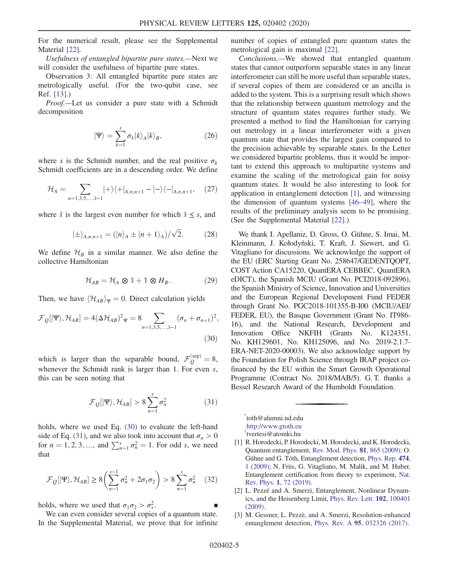For the numerical result, please see the Supplemental Material [\[22\].](#page-5-6)

Usefulness of entangled bipartite pure states.—Next we will consider the usefulness of bipartite pure states.

Observation 3: All entangled bipartite pure states are metrologically useful. (For the two-qubit case, see Ref. [\[13\].](#page-5-2))

Proof.—Let us consider a pure state with a Schmidt decomposition

$$
|\Psi\rangle = \sum_{k=1}^{s} \sigma_k |k\rangle_A |k\rangle_B, \qquad (26)
$$

where s is the Schmidt number, and the real positive  $\sigma_k$ Schmidt coefficients are in a descending order. We define

$$
\mathcal{H}_A = \sum_{n=1,3,5,\dots,\tilde{s}-1} |+\rangle\langle+|_{A,n,n+1} - |-\rangle\langle-|_{A,n,n+1},\quad(27)
$$

where  $\tilde{s}$  is the largest even number for which  $\tilde{s} \leq s$ , and

$$
|\pm\rangle_{A,n,n+1} = (|n\rangle_A \pm |n+1\rangle_A)/\sqrt{2}.
$$
 (28)

We define  $\mathcal{H}_B$  in a similar manner. We also define the collective Hamiltonian

$$
\mathcal{H}_{AB} = \mathcal{H}_A \otimes \mathbb{1} + \mathbb{1} \otimes H_B. \tag{29}
$$

<span id="page-4-4"></span>Then, we have  $\langle \mathcal{H}_{AB} \rangle_{\Psi} = 0$ . Direct calculation yields

$$
\mathcal{F}_{Q}[|\Psi\rangle, \mathcal{H}_{AB}] = 4(\Delta \mathcal{H}_{AB})^{2} \Psi = 8 \sum_{n=1,3,5,\dots,5-1} (\sigma_{n} + \sigma_{n+1})^{2},
$$
\n(30)

<span id="page-4-5"></span>which is larger than the separable bound,  $\mathcal{F}_Q^{(\text{sep})} = 8$ , whenever the Schmidt rank is larger than 1. For even s, this can be seen noting that

$$
\mathcal{F}_Q[|\Psi\rangle, \mathcal{H}_{AB}] > 8 \sum_{n=1}^{s} \sigma_n^2 \tag{31}
$$

holds, where we used Eq. [\(30\)](#page-4-4) to evaluate the left-hand side of Eq. [\(31\)](#page-4-5), and we also took into account that  $\sigma_n > 0$ for  $n = 1, 2, 3, \dots$ , and  $\sum_{n=1}^{s} \sigma_n^2 = 1$ . For odd s, we need that

$$
\mathcal{F}_{Q}[|\Psi\rangle, \mathcal{H}_{AB}] \ge 8\left(\sum_{n=1}^{s-1} \sigma_n^2 + 2\sigma_1\sigma_2\right) > 8\sum_{n=1}^{s} \sigma_n^2 \quad (32)
$$

holds, where we used that  $\sigma_1 \sigma_2 > \sigma_s^2$ .  $\frac{2}{s}$ .

We can even consider several copies of a quantum state. In the Supplemental Material, we prove that for infinite number of copies of entangled pure quantum states the metrological gain is maximal [\[22\]](#page-5-6).

Conclusions.—We showed that entangled quantum states that cannot outperform separable states in any linear interferometer can still be more useful than separable states, if several copies of them are considered or an ancilla is added to the system. This is a surprising result which shows that the relationship between quantum metrology and the structure of quantum states requires further study. We presented a method to find the Hamiltonian for carrying out metrology in a linear interferometer with a given quantum state that provides the largest gain compared to the precision achievable by separable states. In the Letter we considered bipartite problems, thus it would be important to extend this approach to multipartite systems and examine the scaling of the metrological gain for noisy quantum states. It would be also interesting to look for application in entanglement detection [\[1\]](#page-4-2), and witnessing the dimension of quantum systems [46–[49\],](#page-6-3) where the results of the preliminary analysis seem to be promising. (See the Supplemental Material [\[22\].](#page-5-6))

We thank I. Apellaniz, D. Gross, O. Gühne, S. Imai, M. Kleinmann, J. Kołodyński, T. Kraft, J. Siewert, and G. Vitagliano for discussions. We acknowledge the support of the EU (ERC Starting Grant No. 258647/GEDENTQOPT, COST Action CA15220, QuantERA CEBBEC, QuantERA eDICT), the Spanish MCIU (Grant No. PCI2018-092896), the Spanish Ministry of Science, Innovation and Universities and the European Regional Development Fund FEDER through Grant No. PGC2018-101355-B-I00 (MCIU/AEI/ FEDER, EU), the Basque Government (Grant No. IT986- 16), and the National Research, Development and Innovation Office NKFIH (Grants No. K124351, No. KH129601, No. KH125096, and No. 2019-2.1.7- ERA-NET-2020-00003). We also acknowledge support by the Foundation for Polish Science through IRAP project cofinanced by the EU within the Smart Growth Operational Programme (Contract No. 2018/MAB/5). G. T. thanks a Bessel Research Award of the Humboldt Foundation.

<span id="page-4-1"></span><span id="page-4-0"></span>[\\*](#page-0-0) toth@alumni.nd.edu [http://www.gtoth.eu](https://doi.org/[1]1aR. Horodecki, P. Horodecki, M. Horodecki, and K. Horodecki, Quantum entanglement, Rev. Mod. Phys. 81, 865 (2009); RMPHAT0034-686110.1103/RevModPhys.81.8651bO. Gühne and G. Tóth, Entanglement detection, Phys. Rep. 474, 1 (2009); PRPLCM0370-157310.1016/j.physrep.2009.02.0041cN. Friis, G. Vitagliano, M. Malik, and M. Huber, Entanglement certification from theory to experiment, Nat. Rev. Phys. 1, 72 (2019).2522-582010.1038/s42254-018-0003-5[2]2L. Pezzé and A. Smerzi, Entanglement, Nonlinear Dynamics, and the Heisenberg Limit, Phys. Rev. Lett. 102, 100401 (2009).PRLTAO0031-900710.1103/PhysRevLett.102.100401[3]3M. Gessner, L. Pezzè, and A. Smerzi, Resolution-enhanced entanglement detection, Phys. Rev. A 95, 032326 (2017).PLRAAN2469-992610.1103/PhysRevA.95.032326[4]4aP. Hyllus, W. Laskowski, R. Krischek, C. Schwemmer, W. Wieczorek, H. Weinfurter, L. Pezzé, and A. Smerzi, Fisher information and multiparticle entanglement, Phys. Rev. A 85, 022321 (2012); PLRAAN1050-294710.1103/PhysRevA.85.0223214bG. Tóth, Multipartite entanglement and high-precision metrology, Phys. Rev. A 85, 022322 (2012).PLRAAN1050-294710.1103/PhysRevA.85.022322[5]5B. Lücke, M. Scherer, J. Kruse, L. Pezzé, F. Deuretzbacher, P. Hyllus, J. Peise, W. Ertmer, J. Arlt, L. Santos, A. Smerzi, and C. Klempt, Twin matter waves for interferometry beyond the classical limit, Science 334, 773 (2011).SCIEAS0036-807510.1126/science.1208798[6]6R. Krischek, C. Schwemmer, W. Wieczorek, H. Weinfurter, P. Hyllus, L. Pezzé, and A. Smerzi, Useful Multiparticle Entanglement and Sub-Shot-Noise Sensitivity in Experimental Phase Estimation, Phys. Rev. Lett. 107, 080504 (2011).PRLTAO0031-900710.1103/PhysRevLett.107.080504[7]7H. Strobel, W. Muessel, D. Linnemann, T. Zibold, D. B. Hume, L. Pezzé, A. Smerzi, and M. K. Oberthaler, Fisher information and entanglement of non-Gaussian spin states, Science 345, 424 (2014).SCIEAS0036-807510.1126/science.1250147[8]8P. Horodecki, Separability criterion and inseparable mixed states with positive partial transposition, Phys. Lett. A 232, 333 (1997).PYLAAG0375-960110.1016/S0375-9601(97)00416-7[9]9A. Peres, Separability Criterion for Density Matrices, Phys. Rev. Lett. 77, 1413 (1996).PRLTAO0031-900710.1103/PhysRevLett.77.1413[10]10P. Horodecki, M. Horodecki, and R. Horodecki, Bound Entanglement can be Activated, Phys. Rev. Lett. 82, 1056 (1999).PRLTAO0031-900710.1103/PhysRevLett.82.1056[11]11Ł. Czekaj, A. Przysiężna, M. Horodecki, and P. Horodecki, Quantum metrology: Heisenberg limit with bound entanglement, Phys. Rev. A 92, 062303 (2015).PLRAAN1050-294710.1103/PhysRevA.92.062303[12]12G. Tóth and T. Vértesi, Quantum States with a Positive Partial Transpose are Useful for Metrology, Phys. Rev. Lett. 120, 020506 (2018).PRLTAO0031-900710.1103/PhysRevLett.120.020506[13]13P. Hyllus, O. Gühne, and A. Smerzi, Not all pure entangled states are useful for sub-shot-noise interferometry, Phys. Rev. A 82, 012337 (2010).PLRAAN1050-294710.1103/PhysRevA.82.012337[14]In a general LOCC operation, large numbers of copies are used, and many rounds of classical communication take place. In our case no classical communication is needed, and in particular adding ancilla is a local operation (LO) which is an example of LOCC without classical communication (CC).[15]15M. Nawareg, S. Muhammad, P. Horodecki, and M. Bourennane, Superadditivity of two quantum information resources, Sci. Adv. 3, e1602485 (2017).SACDAF2375-254810.1126/sciadv.1602485[16]16M. Navascués and T. Vértesi, Activation of Nonlocal Quantum Resources, Phys. Rev. Lett. 106, 060403 (2011).PRLTAO0031-900710.1103/PhysRevLett.106.060403[17]17C. Palazuelos, Superactivation of Quantum Nonlocality, Phys. Rev. Lett. 109, 190401 (2012).PRLTAO0031-900710.1103/PhysRevLett.109.190401[18]18aC. Helstrom, Quantum Detection and Estimation Theory (Academic Press, New York, 1976); 18bA. Holevo, Probabilistic and Statistical Aspects of Quantum Theory (North-Holland, Amsterdam, 1982); 18cS. L. Braunstein and C. M. Caves, Statistical Distance and the Geometry of Quantum States, Phys. Rev. Lett. 72, 3439 (1994); PRLTAO0031-900710.1103/PhysRevLett.72.343918dD. Petz, Quantum Information Theory and Quantum Statistics (Springer, Berlin, Heilderberg, 2008); 18eS. L. Braunstein, C. M. Caves, and G. J. Milburn, Generalized uncertainty relations: Theory, examples, and Lorentz invariance, Ann. Phys. (N.Y.) 247, 135 (1996).APNYA60003-491610.1006/aphy.1996.0040[19]19aV. Giovannetti, S. Lloyd, and L. Maccone, Quantum-enhanced measurements: Beating the standard quantum limit, Science 306, 1330 (2004); SCIEAS0036-807510.1126/science.110414919bR. Demkowicz-Dobrzanski, M. Jarzyna, and J. Kolodynski, Chapter four-Quantum limits in optical interferometry, Prog. Opt. 60, 345 (2015); POPTAN0079-663810.1016/bs.po.2015.02.00319cL. Pezze and A. Smerzi, Quantum theory of phase estimation, in Atom Interferometry (Proc. Int. School of Physics ’Enrico Fermi’, Course 188, Varenna), edited by G. Tino and M. Kasevich (IOS Press, Amsterdam, 2014), pp. 691–741; 19dG. Tóth and I. Apellaniz, Quantum metrology from a quantum information science perspective, J. Phys. A 47, 424006 (2014).JPAMB51751-811310.1088/1751-8113/47/42/424006[20]20L. Pezzè, A. Smerzi, M. K. Oberthaler, R. Schmied, and P. Treutlein, Quantum metrology with nonclassical states of atomic ensembles, Rev. Mod. Phys. 90, 035005 (2018).RMPHAT0034-686110.1103/RevModPhys.90.035005[21]21M. G. A. Paris, Quantum estimation for quantum technology, Int. J. Quantum. Inform. 07, 125 (2009).0219-749910.1142/S0219749909004839[22]22See the Supplemental Material at http://link.aps.org/supplemental/10.1103/PhysRevLett.125.020402 for additional results on metrology with isotropic states and Werner states, as well as for metrology with bipartite pure entangled states. The Supplemental Material includes Refs. [23–35].[23]23K. Macieszczak, Zeno limit in frequency estimation with non-Markovian environments, Phys. Rev. A 92, 010102(R) (2015).PLRAAN1050-294710.1103/PhysRevA.92.010102[24]24I. Apellaniz, B. Lücke, J. Peise, C. Klempt, and G. Tóth, Detecting metrologically useful entanglement in the vicinity of Dicke states, New J. Phys. 17, 083027 (2015).NJOPFM1367-263010.1088/1367-2630/17/8/083027[25]25F. Fröwis, M. Fadel, P. Treutlein, N. Gisin, and N. Brunner, Does large quantum Fisher information imply Bell correlations? Phys. Rev. A 99, 040101(R) (2019).PLRAAN2469-992610.1103/PhysRevA.99.040101[26]26G. Tóth and F. Fröwis (to be published).[27]27I. Apellaniz, M. Kleinmann, O. Gühne, and G. Tóth, Optimal witnessing of the quantum Fisher information with few measurements, Phys. Rev. A 95, 032330 (2017).PLRAAN2469-992610.1103/PhysRevA.95.032330[28]28H.-J. Sommers and K. Życzkowski, Statistical properties of random density matrices, J. Phys. A 37, 8457 (2004).JPHAC50305-447010.1088/0305-4470/37/35/004[29]29G. Tóth, O. Gühne, and H. J. Briegel, Two-setting Bell inequalities for graph states, Phys. Rev. A 73, 022303 (2006).PLRAAN1050-294710.1103/PhysRevA.73.022303[30]30S. Popescu and D. Rohrlich, Generic quantum nonlocality, Phys. Lett. 166A, 293 (1992).PYLAAG0375-960110.1016/0375-9601(92)90711-T[31]31M. Oszmaniec, R. Augusiak, C. Gogolin, J. Kołodyński, A. Acín, and M. Lewenstein, Random Bosonic States for Robust Quantum Metrology, Phys. Rev. X 6, 041044 (2016).PRXHAE2160-330810.1103/PhysRevX.6.041044[32]32D. M. Greenberger, M. A. Horne, and A. Zeilinger, Going beyond Bell’s theorem, in Bell’s Theorem, Quantum Theory, and Conceptions of the Universe, edited by M. Kafatos (Kluwer, Dordrecht, 1989), pp. 69–72.[33]33M. Krenn, M. Malik, R. Fickler, R. Lapkiewicz, and A. Zeilinger, Automated Search for New Quantum Experiments, Phys. Rev. Lett. 116, 090405 (2016).PRLTAO0031-900710.1103/PhysRevLett.116.090405[34]34R. Uola, T. Kraft, J. Shang, X.-D. Yu, and O. Gühne, Quantifying Quantum Resources with Conic Programming, Phys. Rev. Lett. 122, 130404 (2019).PRLTAO0031-900710.1103/PhysRevLett.122.130404[35]35T. Kraft, University of Siegen (private communication).[36]36M. Hotta and M. Ozawa, Quantum estimation by local observables, Phys. Rev. A 70, 022327 (2004).PLRAAN1050-294710.1103/PhysRevA.70.022327[37]37B. M. Escher, Quantum noise-to-sensibility ratio, arXiv:1212.2533.[38]38F. Fröwis, R. Schmied, and N. Gisin, Tighter quantum uncertainty relations following from a general probabilistic bound, Phys. Rev. A 92, 012102 (2015).PLRAAN1050-294710.1103/PhysRevA.92.012102[39]39K. Macieszczak, Quantum Fisher Information: Variational principle and simple iterative algorithm for its efficient computation, arXiv:1312.1356.[40]40K. Macieszczak, M. Fraas, and R. Demkowicz-Dobrzański, Bayesian quantum frequency estimation in presence of collective dephasing, New J. Phys. 16, 113002 (2014).NJOPFM1367-263010.1088/1367-2630/16/11/113002[41]41M. A. Ciampini, N. Spagnolo, C. Vitelli, L. Pezzè, A. Smerzi, and F. Sciarrino, Quantum-enhanced multiparameter estimation in multiarm interferometers, Sci. Rep. 6, 28881 (2016).SRCEC32045-232210.1038/srep28881[42]42M. Horodecki and P. Horodecki, Reduction criterion of separability and limits for a class of distillation protocols, Phys. Rev. A 59, 4206 (1999).PLRAAN1050-294710.1103/PhysRevA.59.4206[43]43M. Horodecki, P. Horodecki, and R. Horodecki, General teleportation channel, singlet fraction, and quasidistillation, Phys. Rev. A 60, 1888 (1999).PLRAAN1050-294710.1103/PhysRevA.60.1888[44]44R. F. Werner, Quantum states with Einstein-Podolsky-Rosen correlations admitting a hidden-variable model, Phys. Rev. A 40, 4277 (1989).PLRAAN0556-279110.1103/PhysRevA.40.4277[45]45M. Huber, L. Lami, C. Lancien, and A. Müller-Hermes, High-Dimensional Entanglement in States with Positive Partial Transposition, Phys. Rev. Lett. 121, 200503 (2018).PRLTAO0031-900710.1103/PhysRevLett.121.200503[46]46J. Bowles, M. T. Quintino, and N. Brunner, Certifying the Dimension of Classical and Quantum Systems in a Prepare-and-Measure Scenario with Independent Devices, Phys. Rev. Lett. 112, 140407 (2014).PRLTAO0031-900710.1103/PhysRevLett.112.140407[47]47N. Brunner, S. Pironio, A. Acin, N. Gisin, A. A. Méthot, and V. Scarani, Testing the Dimension of Hilbert Spaces, Phys. Rev. Lett. 100, 210503 (2008).PRLTAO0031-900710.1103/PhysRevLett.100.210503[48]48R. Gallego, N. Brunner, C. Hadley, and A. Acín, Device-Independent Tests of Classical and Quantum Dimensions, Phys. Rev. Lett. 105, 230501 (2010).PRLTAO0031-900710.1103/PhysRevLett.105.230501[49]49M. Navascués and T. Vértesi, Bounding the Set of Finite Dimensional Quantum Correlations, Phys. Rev. Lett. 115, 020501 (2015).PRLTAO0031-900710.1103/PhysRevLett.115.020501) [†](#page-0-1) tvertesi@atomki.hu

- <span id="page-4-2"></span>[1] R. Horodecki, P. Horodecki, M. Horodecki, and K. Horodecki, Quantum entanglement, [Rev. Mod. Phys.](https://doi.org/10.1103/RevModPhys.81.865) 81, 865 (2009); O. Gühne and G. Tóth, Entanglement detection, [Phys. Rep.](https://doi.org/10.1016/j.physrep.2009.02.004) 474, [1 \(2009\)](https://doi.org/10.1016/j.physrep.2009.02.004); N. Friis, G. Vitagliano, M. Malik, and M. Huber, Entanglement certification from theory to experiment, [Nat.](https://doi.org/10.1038/s42254-018-0003-5) Rev. Phys. 1[, 72 \(2019\).](https://doi.org/10.1038/s42254-018-0003-5)
- <span id="page-4-3"></span>[2] L. Pezzé and A. Smerzi, Entanglement, Nonlinear Dynamics, and the Heisenberg Limit, [Phys. Rev. Lett.](https://doi.org/10.1103/PhysRevLett.102.100401) 102, 100401 [\(2009\).](https://doi.org/10.1103/PhysRevLett.102.100401)
- [3] M. Gessner, L. Pezzè, and A. Smerzi, Resolution-enhanced entanglement detection, Phys. Rev. A 95[, 032326 \(2017\).](https://doi.org/10.1103/PhysRevA.95.032326)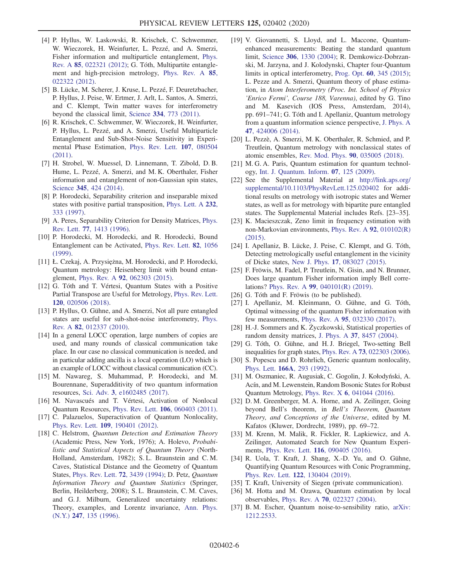- [4] P. Hyllus, W. Laskowski, R. Krischek, C. Schwemmer, W. Wieczorek, H. Weinfurter, L. Pezzé, and A. Smerzi, Fisher information and multiparticle entanglement, [Phys.](https://doi.org/10.1103/PhysRevA.85.022321) Rev. A 85[, 022321 \(2012\)](https://doi.org/10.1103/PhysRevA.85.022321); G. Tóth, Multipartite entanglement and high-precision metrology, [Phys. Rev. A](https://doi.org/10.1103/PhysRevA.85.022322) 85, [022322 \(2012\).](https://doi.org/10.1103/PhysRevA.85.022322)
- [5] B. Lücke, M. Scherer, J. Kruse, L. Pezzé, F. Deuretzbacher, P. Hyllus, J. Peise, W. Ertmer, J. Arlt, L. Santos, A. Smerzi, and C. Klempt, Twin matter waves for interferometry beyond the classical limit, Science 334[, 773 \(2011\)](https://doi.org/10.1126/science.1208798).
- [6] R. Krischek, C. Schwemmer, W. Wieczorek, H. Weinfurter, P. Hyllus, L. Pezzé, and A. Smerzi, Useful Multiparticle Entanglement and Sub-Shot-Noise Sensitivity in Experimental Phase Estimation, [Phys. Rev. Lett.](https://doi.org/10.1103/PhysRevLett.107.080504) 107, 080504 [\(2011\).](https://doi.org/10.1103/PhysRevLett.107.080504)
- [7] H. Strobel, W. Muessel, D. Linnemann, T. Zibold, D. B. Hume, L. Pezzé, A. Smerzi, and M. K. Oberthaler, Fisher information and entanglement of non-Gaussian spin states, Science 345[, 424 \(2014\)](https://doi.org/10.1126/science.1250147).
- <span id="page-5-0"></span>[8] P. Horodecki, Separability criterion and inseparable mixed states with positive partial transposition, [Phys. Lett. A](https://doi.org/10.1016/S0375-9601(97)00416-7) 232, [333 \(1997\)](https://doi.org/10.1016/S0375-9601(97)00416-7).
- [9] A. Peres, Separability Criterion for Density Matrices, [Phys.](https://doi.org/10.1103/PhysRevLett.77.1413) Rev. Lett. 77[, 1413 \(1996\)](https://doi.org/10.1103/PhysRevLett.77.1413).
- <span id="page-5-4"></span>[10] P. Horodecki, M. Horodecki, and R. Horodecki, Bound Entanglement can be Activated, [Phys. Rev. Lett.](https://doi.org/10.1103/PhysRevLett.82.1056) 82, 1056 [\(1999\).](https://doi.org/10.1103/PhysRevLett.82.1056)
- <span id="page-5-1"></span>[11] Ł. Czekaj, A. Przysiężna, M. Horodecki, and P. Horodecki, Quantum metrology: Heisenberg limit with bound entanglement, Phys. Rev. A 92[, 062303 \(2015\)](https://doi.org/10.1103/PhysRevA.92.062303).
- <span id="page-5-8"></span>[12] G. Tóth and T. Vértesi, Quantum States with a Positive Partial Transpose are Useful for Metrology, [Phys. Rev. Lett.](https://doi.org/10.1103/PhysRevLett.120.020506) 120[, 020506 \(2018\).](https://doi.org/10.1103/PhysRevLett.120.020506)
- <span id="page-5-2"></span>[13] P. Hyllus, O. Gühne, and A. Smerzi, Not all pure entangled states are useful for sub-shot-noise interferometry, [Phys.](https://doi.org/10.1103/PhysRevA.82.012337) Rev. A 82[, 012337 \(2010\)](https://doi.org/10.1103/PhysRevA.82.012337).
- <span id="page-5-3"></span>[14] In a general LOCC operation, large numbers of copies are used, and many rounds of classical communication take place. In our case no classical communication is needed, and in particular adding ancilla is a local operation (LO) which is an example of LOCC without classical communication (CC).
- [15] M. Nawareg, S. Muhammad, P. Horodecki, and M. Bourennane, Superadditivity of two quantum information resources, Sci. Adv. 3[, e1602485 \(2017\)](https://doi.org/10.1126/sciadv.1602485).
- [16] M. Navascués and T. Vértesi, Activation of Nonlocal Quantum Resources, Phys. Rev. Lett. 106[, 060403 \(2011\).](https://doi.org/10.1103/PhysRevLett.106.060403)
- <span id="page-5-5"></span>[17] C. Palazuelos, Superactivation of Quantum Nonlocality, Phys. Rev. Lett. 109[, 190401 \(2012\).](https://doi.org/10.1103/PhysRevLett.109.190401)
- [18] C. Helstrom, Quantum Detection and Estimation Theory (Academic Press, New York, 1976); A. Holevo, Probabilistic and Statistical Aspects of Quantum Theory (North-Holland, Amsterdam, 1982); S. L. Braunstein and C. M. Caves, Statistical Distance and the Geometry of Quantum States, [Phys. Rev. Lett.](https://doi.org/10.1103/PhysRevLett.72.3439) 72, 3439 (1994); D. Petz, Quantum Information Theory and Quantum Statistics (Springer, Berlin, Heilderberg, 2008); S. L. Braunstein, C. M. Caves, and G. J. Milburn, Generalized uncertainty relations: Theory, examples, and Lorentz invariance, [Ann. Phys.](https://doi.org/10.1006/aphy.1996.0040) (N.Y.) 247[, 135 \(1996\)](https://doi.org/10.1006/aphy.1996.0040).
- [19] V. Giovannetti, S. Lloyd, and L. Maccone, Quantumenhanced measurements: Beating the standard quantum limit, Science 306[, 1330 \(2004\)](https://doi.org/10.1126/science.1104149); R. Demkowicz-Dobrzanski, M. Jarzyna, and J. Kolodynski, Chapter four-Quantum limits in optical interferometry, Prog. Opt. 60[, 345 \(2015\)](https://doi.org/10.1016/bs.po.2015.02.003); L. Pezze and A. Smerzi, Quantum theory of phase estimation, in Atom Interferometry (Proc. Int. School of Physics 'Enrico Fermi', Course 188, Varenna), edited by G. Tino and M. Kasevich (IOS Press, Amsterdam, 2014), pp. 691–741; G. Tóth and I. Apellaniz, Quantum metrology from a quantum information science perspective, [J. Phys. A](https://doi.org/10.1088/1751-8113/47/42/424006) 47[, 424006 \(2014\).](https://doi.org/10.1088/1751-8113/47/42/424006)
- [20] L. Pezzè, A. Smerzi, M. K. Oberthaler, R. Schmied, and P. Treutlein, Quantum metrology with nonclassical states of atomic ensembles, [Rev. Mod. Phys.](https://doi.org/10.1103/RevModPhys.90.035005) 90, 035005 (2018).
- <span id="page-5-7"></span>[21] M. G. A. Paris, Quantum estimation for quantum technology, [Int. J. Quantum. Inform.](https://doi.org/10.1142/S0219749909004839) 07, 125 (2009).
- <span id="page-5-6"></span>[22] See the Supplemental Material at [http://link.aps.org/](http://link.aps.org/supplemental/10.1103/PhysRevLett.125.020402) [supplemental/10.1103/PhysRevLett.125.020402](http://link.aps.org/supplemental/10.1103/PhysRevLett.125.020402) for additional results on metrology with isotropic states and Werner states, as well as for metrology with bipartite pure entangled states. The Supplemental Material includes Refs. [23–35].
- [23] K. Macieszczak, Zeno limit in frequency estimation with non-Markovian environments, [Phys. Rev. A](https://doi.org/10.1103/PhysRevA.92.010102) 92, 010102(R) [\(2015\).](https://doi.org/10.1103/PhysRevA.92.010102)
- [24] I. Apellaniz, B. Lücke, J. Peise, C. Klempt, and G. Tóth, Detecting metrologically useful entanglement in the vicinity of Dicke states, New J. Phys. 17[, 083027 \(2015\).](https://doi.org/10.1088/1367-2630/17/8/083027)
- [25] F. Fröwis, M. Fadel, P. Treutlein, N. Gisin, and N. Brunner, Does large quantum Fisher information imply Bell correlations? Phys. Rev. A 99[, 040101\(R\) \(2019\)](https://doi.org/10.1103/PhysRevA.99.040101).
- [26] G. Tóth and F. Fröwis (to be published).
- [27] I. Apellaniz, M. Kleinmann, O. Gühne, and G. Tóth, Optimal witnessing of the quantum Fisher information with few measurements, Phys. Rev. A 95[, 032330 \(2017\)](https://doi.org/10.1103/PhysRevA.95.032330).
- [28] H.-J. Sommers and K. Życzkowski, Statistical properties of random density matrices, J. Phys. A 37[, 8457 \(2004\)](https://doi.org/10.1088/0305-4470/37/35/004).
- [29] G. Tóth, O. Gühne, and H.J. Briegel, Two-setting Bell inequalities for graph states, Phys. Rev. A 73[, 022303 \(2006\).](https://doi.org/10.1103/PhysRevA.73.022303)
- [30] S. Popescu and D. Rohrlich, Generic quantum nonlocality, Phys. Lett. 166A[, 293 \(1992\)](https://doi.org/10.1016/0375-9601(92)90711-T).
- [31] M. Oszmaniec, R. Augusiak, C. Gogolin, J. Kołodyński, A. Acín, and M. Lewenstein, Random Bosonic States for Robust Quantum Metrology, Phys. Rev. X 6[, 041044 \(2016\)](https://doi.org/10.1103/PhysRevX.6.041044).
- [32] D. M. Greenberger, M. A. Horne, and A. Zeilinger, Going beyond Bell's theorem, in Bell's Theorem, Quantum Theory, and Conceptions of the Universe, edited by M. Kafatos (Kluwer, Dordrecht, 1989), pp. 69–72.
- [33] M. Krenn, M. Malik, R. Fickler, R. Lapkiewicz, and A. Zeilinger, Automated Search for New Quantum Experiments, Phys. Rev. Lett. 116[, 090405 \(2016\).](https://doi.org/10.1103/PhysRevLett.116.090405)
- [34] R. Uola, T. Kraft, J. Shang, X.-D. Yu, and O. Gühne, Quantifying Quantum Resources with Conic Programming, Phys. Rev. Lett. 122[, 130404 \(2019\).](https://doi.org/10.1103/PhysRevLett.122.130404)
- [35] T. Kraft, University of Siegen (private communication).
- [36] M. Hotta and M. Ozawa, Quantum estimation by local observables, Phys. Rev. A 70[, 022327 \(2004\)](https://doi.org/10.1103/PhysRevA.70.022327).
- [37] B. M. Escher, Quantum noise-to-sensibility ratio, [arXiv:](https://arXiv.org/abs/1212.2533) [1212.2533](https://arXiv.org/abs/1212.2533).